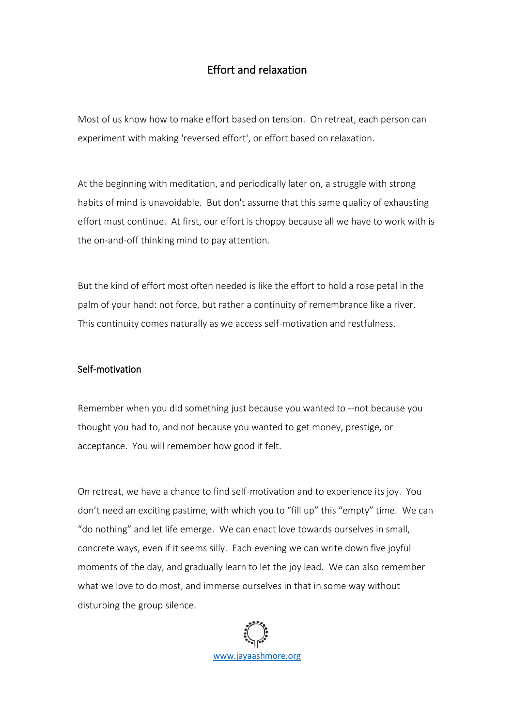## Effort and relaxation

Most of us know how to make effort based on tension. On retreat, each person can experiment with making 'reversed effort', or effort based on relaxation.

At the beginning with meditation, and periodically later on, a struggle with strong habits of mind is unavoidable. But don't assume that this same quality of exhausting effort must continue. At first, our effort is choppy because all we have to work with is the on-and-off thinking mind to pay attention.

But the kind of effort most often needed is like the effort to hold a rose petal in the palm of your hand: not force, but rather a continuity of remembrance like a river. This continuity comes naturally as we access self-motivation and restfulness.

## Self-motivation

Remember when you did something just because you wanted to --not because you thought you had to, and not because you wanted to get money, prestige, or acceptance. You will remember how good it felt.

On retreat, we have a chance to find self-motivation and to experience its joy. You don't need an exciting pastime, with which you to "fill up" this "empty" time. We can "do nothing" and let life emerge. We can enact love towards ourselves in small, concrete ways, even if it seems silly. Each evening we can write down five joyful moments of the day, and gradually learn to let the joy lead. We can also remember what we love to do most, and immerse ourselves in that in some way without disturbing the group silence.